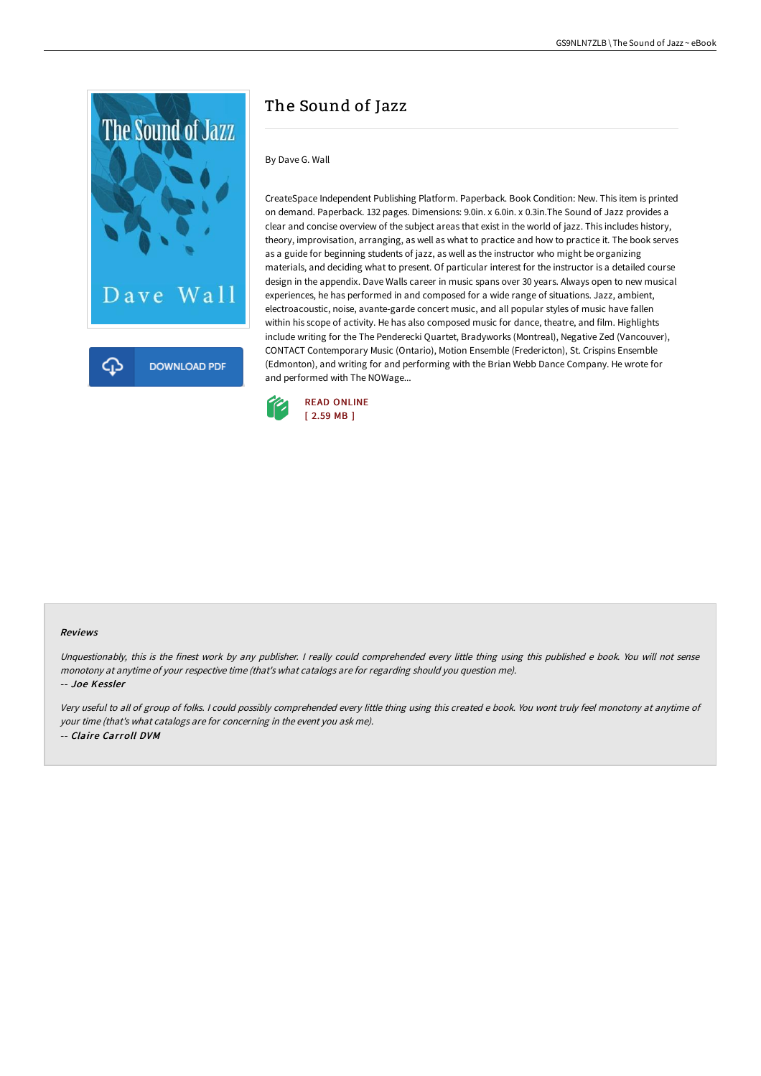

## The Sound of Jazz

By Dave G. Wall

CreateSpace Independent Publishing Platform. Paperback. Book Condition: New. This item is printed on demand. Paperback. 132 pages. Dimensions: 9.0in. x 6.0in. x 0.3in.The Sound of Jazz provides a clear and concise overview of the subject areas that exist in the world of jazz. This includes history, theory, improvisation, arranging, as well as what to practice and how to practice it. The book serves as a guide for beginning students of jazz, as well as the instructor who might be organizing materials, and deciding what to present. Of particular interest for the instructor is a detailed course design in the appendix. Dave Walls career in music spans over 30 years. Always open to new musical experiences, he has performed in and composed for a wide range of situations. Jazz, ambient, electroacoustic, noise, avante-garde concert music, and all popular styles of music have fallen within his scope of activity. He has also composed music for dance, theatre, and film. Highlights include writing for the The Penderecki Quartet, Bradyworks (Montreal), Negative Zed (Vancouver), CONTACT Contemporary Music (Ontario), Motion Ensemble (Fredericton), St. Crispins Ensemble (Edmonton), and writing for and performing with the Brian Webb Dance Company. He wrote for and performed with The NOWage...



## Reviews

Unquestionably, this is the finest work by any publisher. <sup>I</sup> really could comprehended every little thing using this published <sup>e</sup> book. You will not sense monotony at anytime of your respective time (that's what catalogs are for regarding should you question me).

-- Joe Kessler

Very useful to all of group of folks. <sup>I</sup> could possibly comprehended every little thing using this created <sup>e</sup> book. You wont truly feel monotony at anytime of your time (that's what catalogs are for concerning in the event you ask me). -- Claire Carroll DVM